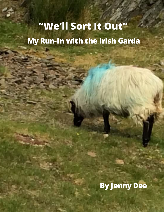## **"We'll Sort It Out" My Run-In with the Irish Garda**

**By Jenny Dee**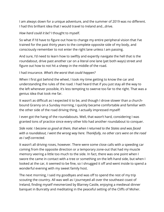I am always down for a unique adventure, and the summer of 2019 was no different. I had this brilliant idea that I would travel to Ireland and…drive.

*How hard could it be?* I thought to myself.

So what if I'd have to figure out how to change my entire peripheral vision that I've trained for the past thirty years to the complete opposite side of my body, and consciously remember to not enter the right lane unless I am passing.

And sure, I'd need to learn how to swiftly and expertly navigate the hell that is the roundabout, drive past another car on a literal one lane (yet both ways) street and figure out how to not hit a sheep in the middle of the road.

## I had insurance. *What's the worst that could happen?*

When I first got behind the wheel, I took my time getting to know the car and understanding the rules of the road. I had heard that if you just stay all the way to the left whenever possible, it's less tempting to swerve too far to the right. That was a genius idea that took me far.

It wasn't as difficult as I expected it to be, and though I drove slower than a churchbound Granny on a Sunday morning, I quickly became comfortable and familiar with the other side of the road driving thing. I actually impressed myself!

I even got the hang of the roundabouts. Well, that wasn't hard, considering I was granted tons of practice since every other kilo had another roundabout to conquer.

*Side note: I became so good at them, that when I returned to the States and was faced with a roundabout, I went the wrong way here. Thankfully, no other cars were on the road as I self-corrected.*

It wasn't all driving roses, however. There were some close calls with a speeding car coming from the opposite direction or a temporary zone-out that had my muscle memory veering a little too much to the side. In fact, there was one point when I swore the came in contact with a tree or something on the left-hand side, but when I looked at the car, it seemed to be fine, so I shrugged it off and went inside to spend a wonderful evening with my sweet family host.

The next morning, I said my goodbyes and was off to spend the rest of my trip scouting the country. All was well as I journeyed all over the southeast coast of Ireland, finding myself mesmerized by Blarney Castle, enjoying a medieval dinner banquet in Bunratty and meditating in the peaceful setting of the Cliffs of Moher.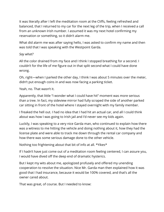It was literally after I left the meditation room at the Cliffs, feeling refreshed and balanced, that I returned to my car for the next leg of the trip, when I received a call from an unknown Irish number. I assumed it was my next hotel confirming my reservation or something, so it didn't alarm me.

What did alarm me was after saying hello, I was asked to confirm my name and then was told that I was speaking with the Westpoint Garda.

## *Say what?*

All the color drained from my face and I think I stopped breathing for a second. I couldn't for the life of me figure out in that split second what I could have done wrong.

Oh, right—when I parked the other day, I think I was about 5 minutes over the meter, didn't put enough coins in and was now facing a parking ticket.

Yeah, no. That wasn't it.

Apparently, that little "I wonder what I could have hit" moment was more serious than a tree. In fact, my sideview mirror had fully scraped the side of another parked car sitting in front of the hotel where I stayed overnight with my family member.

I freaked the hell out. I had no idea that I had hit an actual car, and all I could think about was how I was going to Irish jail and I'd never see my kids again.

Luckily, I was speaking to a very nice Garda man, who continued to explain how there was a witness to me hitting the vehicle and doing nothing about it, how they had the license plate and were able to track me down through the rental car company and how there was some serious damage done to the other vehicle.

Nothing too frightening about that bit of info at all. \*Yikes\*

If I hadn't have just come out of a meditation room feeling centered, I can assure you, I would have dived off the deep end of dramatic hysterics.

But I kept my wits about me, apologized profusely and offered my unending cooperation to resolve the situation. Nice Mr. Garda man then explained how it was good that I had insurance, because it would be 100% covered, and that's all the owner cared about.

That was great, of course. But I needed to know: